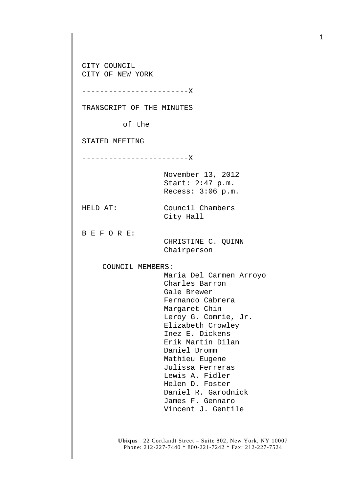CITY COUNCIL CITY OF NEW YORK

------------------------X

TRANSCRIPT OF THE MINUTES

of the

STATED MEETING

------------------------X

November 13, 2012 Start: 2:47 p.m. Recess: 3:06 p.m.

City Hall

HELD AT: Council Chambers

B E F O R E:

 CHRISTINE C. QUINN Chairperson

COUNCIL MEMBERS:

 Maria Del Carmen Arroyo Charles Barron Gale Brewer Fernando Cabrera Margaret Chin Leroy G. Comrie, Jr. Elizabeth Crowley Inez E. Dickens Erik Martin Dilan Daniel Dromm Mathieu Eugene Julissa Ferreras Lewis A. Fidler Helen D. Foster Daniel R. Garodnick James F. Gennaro Vincent J. Gentile

**Ubiqus** 22 Cortlandt Street – Suite 802, New York, NY 10007 Phone: 212-227-7440 \* 800-221-7242 \* Fax: 212-227-7524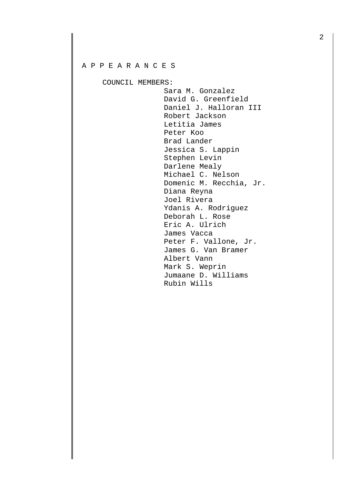## A P P E A R A N C E S

COUNCIL MEMBERS:

 Sara M. Gonzalez David G. Greenfield Daniel J. Halloran III Robert Jackson Letitia James Peter Koo Brad Lander Jessica S. Lappin Stephen Levin Darlene Mealy Michael C. Nelson Domenic M. Recchia, Jr. Diana Reyna Joel Rivera Ydanis A. Rodriguez Deborah L. Rose Eric A. Ulrich James Vacca Peter F. Vallone, Jr. James G. Van Bramer Albert Vann Mark S. Weprin Jumaane D. Williams Rubin Wills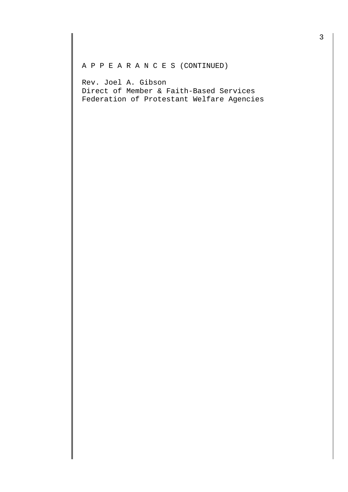## A P P E A R A N C E S (CONTINUED)

Rev. Joel A. Gibson Direct of Member & Faith-Based Services Federation of Protestant Welfare Agencies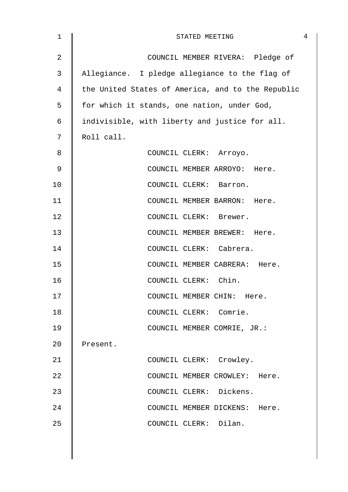| $\mathbf 1$    | 4<br>STATED MEETING                               |
|----------------|---------------------------------------------------|
| $\overline{2}$ | COUNCIL MEMBER RIVERA: Pledge of                  |
| 3              | Allegiance. I pledge allegiance to the flag of    |
| 4              | the United States of America, and to the Republic |
| 5              | for which it stands, one nation, under God,       |
| 6              | indivisible, with liberty and justice for all.    |
| 7              | Roll call.                                        |
| 8              | COUNCIL CLERK: Arroyo.                            |
| 9              | COUNCIL MEMBER ARROYO: Here.                      |
| 10             | COUNCIL CLERK: Barron.                            |
| 11             | COUNCIL MEMBER BARRON: Here.                      |
| 12             | COUNCIL CLERK: Brewer.                            |
| 13             | COUNCIL MEMBER BREWER: Here.                      |
| 14             | COUNCIL CLERK: Cabrera.                           |
| 15             | COUNCIL MEMBER CABRERA: Here.                     |
| 16             | COUNCIL CLERK: Chin.                              |
| 17             | COUNCIL MEMBER CHIN: Here.                        |
| 18             | COUNCIL CLERK: Comrie.                            |
| 19             | COUNCIL MEMBER COMRIE, JR.:                       |
| 20             | Present.                                          |
| 21             | COUNCIL CLERK: Crowley.                           |
| 22             | COUNCIL MEMBER CROWLEY: Here.                     |
| 23             | COUNCIL CLERK: Dickens.                           |
| 24             | COUNCIL MEMBER DICKENS: Here.                     |
| 25             | COUNCIL CLERK: Dilan.                             |
|                |                                                   |
|                |                                                   |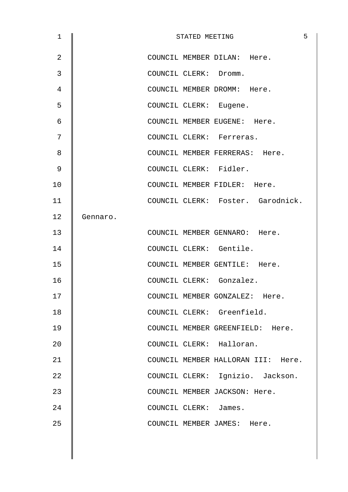| $\mathbf 1$    |          |                        | STATED MEETING | 5                                  |
|----------------|----------|------------------------|----------------|------------------------------------|
| $\overline{2}$ |          |                        |                | COUNCIL MEMBER DILAN: Here.        |
| 3              |          | COUNCIL CLERK: Dromm.  |                |                                    |
| 4              |          |                        |                | COUNCIL MEMBER DROMM: Here.        |
| 5              |          | COUNCIL CLERK: Eugene. |                |                                    |
| 6              |          |                        |                | COUNCIL MEMBER EUGENE: Here.       |
| 7              |          |                        |                | COUNCIL CLERK: Ferreras.           |
| 8              |          |                        |                | COUNCIL MEMBER FERRERAS: Here.     |
| 9              |          |                        |                | COUNCIL CLERK: Fidler.             |
| 10             |          |                        |                | COUNCIL MEMBER FIDLER: Here.       |
| 11             |          |                        |                | COUNCIL CLERK: Foster. Garodnick.  |
| 12             | Gennaro. |                        |                |                                    |
| 13             |          |                        |                | COUNCIL MEMBER GENNARO: Here.      |
| 14             |          |                        |                | COUNCIL CLERK: Gentile.            |
| 15             |          |                        |                | COUNCIL MEMBER GENTILE: Here.      |
| 16             |          |                        |                | COUNCIL CLERK: Gonzalez.           |
| 17             |          |                        |                | COUNCIL MEMBER GONZALEZ: Here.     |
| 18             |          |                        |                | COUNCIL CLERK: Greenfield.         |
| 19             |          |                        |                | COUNCIL MEMBER GREENFIELD: Here.   |
| 20             |          |                        |                | COUNCIL CLERK: Halloran.           |
| 21             |          |                        |                | COUNCIL MEMBER HALLORAN III: Here. |
| 22             |          |                        |                | COUNCIL CLERK: Ignizio. Jackson.   |
| 23             |          |                        |                | COUNCIL MEMBER JACKSON: Here.      |
| 24             |          | COUNCIL CLERK: James.  |                |                                    |
| 25             |          |                        |                | COUNCIL MEMBER JAMES: Here.        |
|                |          |                        |                |                                    |
|                |          |                        |                |                                    |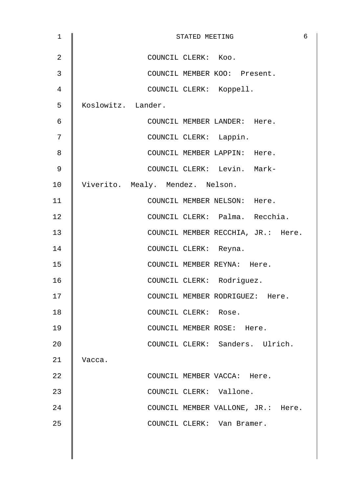| $\mathbf 1$    | 6<br>STATED MEETING                |
|----------------|------------------------------------|
| $\overline{2}$ | COUNCIL CLERK: Koo.                |
| $\mathfrak{Z}$ | COUNCIL MEMBER KOO: Present.       |
| 4              | COUNCIL CLERK: Koppell.            |
| 5              | Koslowitz. Lander.                 |
| 6              | COUNCIL MEMBER LANDER: Here.       |
| 7              | COUNCIL CLERK: Lappin.             |
| 8              | COUNCIL MEMBER LAPPIN: Here.       |
| 9              | COUNCIL CLERK: Levin. Mark-        |
| 10             | Viverito. Mealy. Mendez. Nelson.   |
| 11             | COUNCIL MEMBER NELSON: Here.       |
| 12             | COUNCIL CLERK: Palma. Recchia.     |
| 13             | COUNCIL MEMBER RECCHIA, JR.: Here. |
| 14             | COUNCIL CLERK: Reyna.              |
| 15             | COUNCIL MEMBER REYNA: Here.        |
| 16             | COUNCIL CLERK: Rodriguez.          |
| 17             | COUNCIL MEMBER RODRIGUEZ: Here.    |
| 18             | COUNCIL CLERK: Rose.               |
| 19             | COUNCIL MEMBER ROSE: Here.         |
| 20             | COUNCIL CLERK: Sanders. Ulrich.    |
| 21             | Vacca.                             |
| 22             | COUNCIL MEMBER VACCA: Here.        |
| 23             | COUNCIL CLERK: Vallone.            |
| 24             | COUNCIL MEMBER VALLONE, JR.: Here. |
| 25             | COUNCIL CLERK: Van Bramer.         |
|                |                                    |
|                |                                    |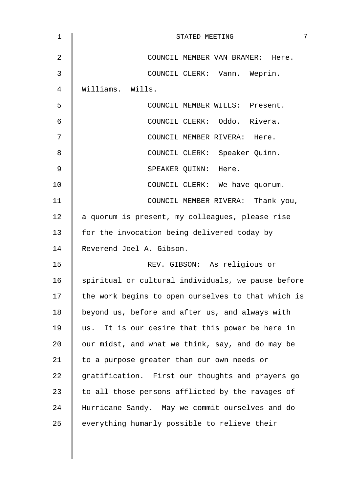| 1  | 7<br>STATED MEETING                                |
|----|----------------------------------------------------|
| 2  | COUNCIL MEMBER VAN BRAMER: Here.                   |
| 3  | COUNCIL CLERK: Vann. Weprin.                       |
| 4  | Williams. Wills.                                   |
| 5  | COUNCIL MEMBER WILLS: Present.                     |
| 6  | COUNCIL CLERK: Oddo. Rivera.                       |
| 7  | COUNCIL MEMBER RIVERA: Here.                       |
| 8  | COUNCIL CLERK: Speaker Quinn.                      |
| 9  | SPEAKER QUINN: Here.                               |
| 10 | COUNCIL CLERK: We have quorum.                     |
| 11 | COUNCIL MEMBER RIVERA: Thank you,                  |
| 12 | a quorum is present, my colleagues, please rise    |
| 13 | for the invocation being delivered today by        |
| 14 | Reverend Joel A. Gibson.                           |
| 15 | REV. GIBSON: As religious or                       |
| 16 | spiritual or cultural individuals, we pause before |
| 17 | the work begins to open ourselves to that which is |
| 18 | beyond us, before and after us, and always with    |
| 19 | us. It is our desire that this power be here in    |
| 20 | our midst, and what we think, say, and do may be   |
| 21 | to a purpose greater than our own needs or         |
| 22 | gratification. First our thoughts and prayers go   |
| 23 | to all those persons afflicted by the ravages of   |
| 24 | Hurricane Sandy. May we commit ourselves and do    |
| 25 | everything humanly possible to relieve their       |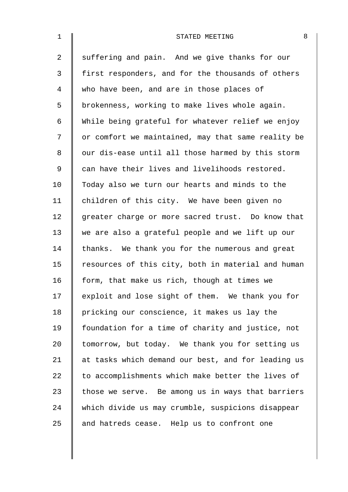| $\mathbf 1$    | 8<br>STATED MEETING                                |
|----------------|----------------------------------------------------|
| $\overline{a}$ | suffering and pain. And we give thanks for our     |
| 3              | first responders, and for the thousands of others  |
| 4              | who have been, and are in those places of          |
| 5              | brokenness, working to make lives whole again.     |
| 6              | While being grateful for whatever relief we enjoy  |
| 7              | or comfort we maintained, may that same reality be |
| 8              | our dis-ease until all those harmed by this storm  |
| $\mathsf 9$    | can have their lives and livelihoods restored.     |
| 10             | Today also we turn our hearts and minds to the     |
| 11             | children of this city. We have been given no       |
| 12             | greater charge or more sacred trust. Do know that  |
| 13             | we are also a grateful people and we lift up our   |
| 14             | thanks. We thank you for the numerous and great    |
| 15             | resources of this city, both in material and human |
| 16             | form, that make us rich, though at times we        |
| 17             | exploit and lose sight of them. We thank you for   |
| 18             | pricking our conscience, it makes us lay the       |
| 19             | foundation for a time of charity and justice, not  |
| 20             | tomorrow, but today. We thank you for setting us   |
| 21             | at tasks which demand our best, and for leading us |
| 22             | to accomplishments which make better the lives of  |
| 23             | those we serve. Be among us in ways that barriers  |
| 24             | which divide us may crumble, suspicions disappear  |
| 25             | and hatreds cease. Help us to confront one         |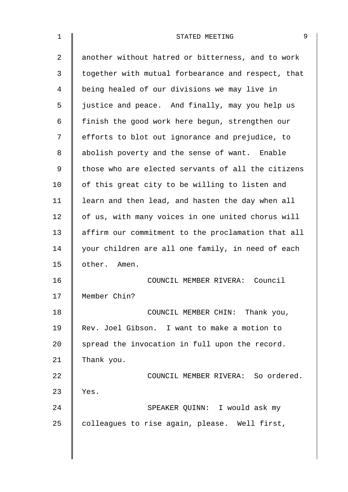| $\mathbf 1$ | 9<br>STATED MEETING                                |
|-------------|----------------------------------------------------|
| 2           | another without hatred or bitterness, and to work  |
| 3           | together with mutual forbearance and respect, that |
| 4           | being healed of our divisions we may live in       |
| 5           | justice and peace. And finally, may you help us    |
| 6           | finish the good work here begun, strengthen our    |
| 7           | efforts to blot out ignorance and prejudice, to    |
| 8           | abolish poverty and the sense of want. Enable      |
| $\mathsf 9$ | those who are elected servants of all the citizens |
| 10          | of this great city to be willing to listen and     |
| 11          | learn and then lead, and hasten the day when all   |
| 12          | of us, with many voices in one united chorus will  |
| 13          | affirm our commitment to the proclamation that all |
| 14          | your children are all one family, in need of each  |
| 15          | other. Amen.                                       |
| 16          | COUNCIL MEMBER RIVERA: Council                     |
| 17          | Member Chin?                                       |
| 18          | COUNCIL MEMBER CHIN: Thank you,                    |
| 19          | Rev. Joel Gibson. I want to make a motion to       |
| 20          | spread the invocation in full upon the record.     |
| 21          | Thank you.                                         |
| 22          | COUNCIL MEMBER RIVERA: So ordered.                 |
| 23          | Yes.                                               |
| 24          | SPEAKER QUINN: I would ask my                      |
| 25          | colleagues to rise again, please. Well first,      |
|             |                                                    |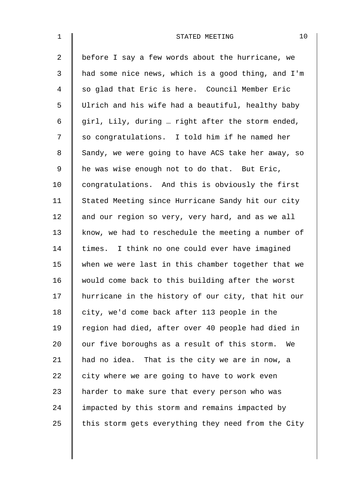| $\mathbf{1}$   | 10<br>STATED MEETING                               |
|----------------|----------------------------------------------------|
| $\overline{2}$ | before I say a few words about the hurricane, we   |
| 3              | had some nice news, which is a good thing, and I'm |
| 4              | so glad that Eric is here. Council Member Eric     |
| 5              | Ulrich and his wife had a beautiful, healthy baby  |
| 6              | girl, Lily, during  right after the storm ended,   |
| 7              | so congratulations. I told him if he named her     |
| 8              | Sandy, we were going to have ACS take her away, so |
| 9              | he was wise enough not to do that. But Eric,       |
| 10             | congratulations. And this is obviously the first   |
| 11             | Stated Meeting since Hurricane Sandy hit our city  |
| 12             | and our region so very, very hard, and as we all   |
| 13             | know, we had to reschedule the meeting a number of |
| 14             | times. I think no one could ever have imagined     |
| 15             | when we were last in this chamber together that we |
| 16             | would come back to this building after the worst   |
| 17             | hurricane in the history of our city, that hit our |
| 18             | city, we'd come back after 113 people in the       |
| 19             | region had died, after over 40 people had died in  |
| 20             | our five boroughs as a result of this storm.<br>We |
| 21             | had no idea. That is the city we are in now, a     |
| 22             | city where we are going to have to work even       |
| 23             | harder to make sure that every person who was      |
| 24             | impacted by this storm and remains impacted by     |
| 25             | this storm gets everything they need from the City |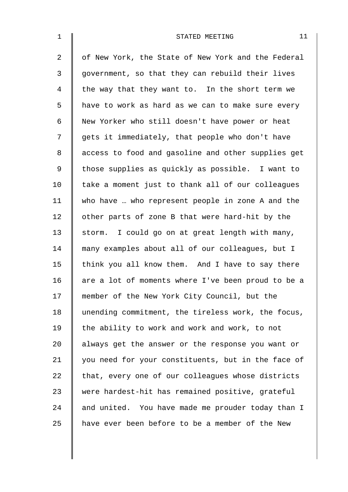| $\mathbf 1$ | 11<br>STATED MEETING                               |
|-------------|----------------------------------------------------|
| 2           | of New York, the State of New York and the Federal |
| 3           | government, so that they can rebuild their lives   |
| 4           | the way that they want to. In the short term we    |
| 5           | have to work as hard as we can to make sure every  |
| 6           | New Yorker who still doesn't have power or heat    |
| 7           | gets it immediately, that people who don't have    |
| 8           | access to food and gasoline and other supplies get |
| 9           | those supplies as quickly as possible. I want to   |
| 10          | take a moment just to thank all of our colleagues  |
| 11          | who have  who represent people in zone A and the   |
| 12          | other parts of zone B that were hard-hit by the    |
| 13          | storm. I could go on at great length with many,    |
| 14          | many examples about all of our colleagues, but I   |
| 15          | think you all know them. And I have to say there   |
| 16          | are a lot of moments where I've been proud to be a |
| 17          | member of the New York City Council, but the       |
| 18          | unending commitment, the tireless work, the focus, |
| 19          | the ability to work and work and work, to not      |
| 20          | always get the answer or the response you want or  |
| 21          | you need for your constituents, but in the face of |
| 22          | that, every one of our colleagues whose districts  |
| 23          | were hardest-hit has remained positive, grateful   |
| 24          | and united. You have made me prouder today than I  |
| 25          | have ever been before to be a member of the New    |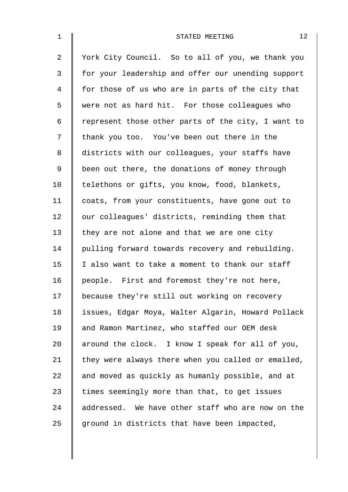| $\mathbf 1$    | 12<br>STATED MEETING                               |
|----------------|----------------------------------------------------|
| $\overline{a}$ | York City Council. So to all of you, we thank you  |
| 3              | for your leadership and offer our unending support |
| 4              | for those of us who are in parts of the city that  |
| 5              | were not as hard hit. For those colleagues who     |
| 6              | represent those other parts of the city, I want to |
| 7              | thank you too. You've been out there in the        |
| 8              | districts with our colleagues, your staffs have    |
| 9              | been out there, the donations of money through     |
| 10             | telethons or gifts, you know, food, blankets,      |
| 11             | coats, from your constituents, have gone out to    |
| 12             | our colleagues' districts, reminding them that     |
| 13             | they are not alone and that we are one city        |
| 14             | pulling forward towards recovery and rebuilding.   |
| 15             | I also want to take a moment to thank our staff    |
| 16             | people. First and foremost they're not here,       |
| 17             | because they're still out working on recovery      |
| 18             | issues, Edgar Moya, Walter Algarin, Howard Pollack |
| 19             | and Ramon Martinez, who staffed our OEM desk       |
| 20             | around the clock. I know I speak for all of you,   |
| 21             | they were always there when you called or emailed, |
| 22             | and moved as quickly as humanly possible, and at   |
| 23             | times seemingly more than that, to get issues      |
| 24             | addressed. We have other staff who are now on the  |
| 25             | ground in districts that have been impacted,       |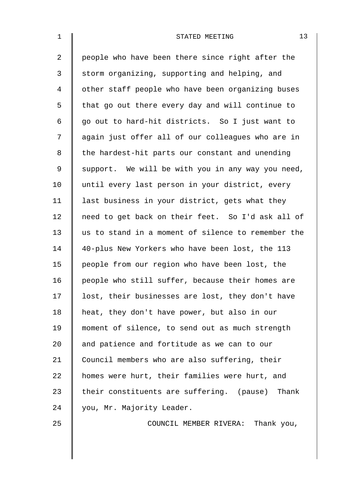| $\mathbf 1$    | 13<br>STATED MEETING                               |
|----------------|----------------------------------------------------|
| $\overline{2}$ | people who have been there since right after the   |
| 3              | storm organizing, supporting and helping, and      |
| $\overline{4}$ | other staff people who have been organizing buses  |
| 5              | that go out there every day and will continue to   |
| 6              | go out to hard-hit districts. So I just want to    |
| 7              | again just offer all of our colleagues who are in  |
| 8              | the hardest-hit parts our constant and unending    |
| $\mathsf 9$    | support. We will be with you in any way you need,  |
| 10             | until every last person in your district, every    |
| 11             | last business in your district, gets what they     |
| 12             | need to get back on their feet. So I'd ask all of  |
| 13             | us to stand in a moment of silence to remember the |
| 14             | 40-plus New Yorkers who have been lost, the 113    |
| 15             | people from our region who have been lost, the     |
| 16             | people who still suffer, because their homes are   |
| 17             | lost, their businesses are lost, they don't have   |
| 18             | heat, they don't have power, but also in our       |
| 19             | moment of silence, to send out as much strength    |
| 20             | and patience and fortitude as we can to our        |
| 21             | Council members who are also suffering, their      |
| 22             | homes were hurt, their families were hurt, and     |
| 23             | their constituents are suffering. (pause) Thank    |
| 24             | you, Mr. Majority Leader.                          |
| 25             | COUNCIL MEMBER RIVERA: Thank you,                  |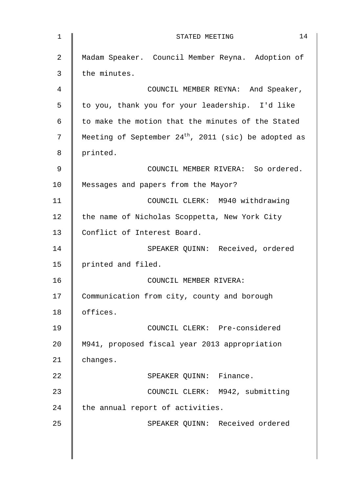| 1  | 14<br>STATED MEETING                                   |
|----|--------------------------------------------------------|
| 2  | Madam Speaker. Council Member Reyna. Adoption of       |
| 3  | the minutes.                                           |
| 4  | COUNCIL MEMBER REYNA: And Speaker,                     |
| 5  | to you, thank you for your leadership. I'd like        |
| 6  | to make the motion that the minutes of the Stated      |
| 7  | Meeting of September $24th$ , 2011 (sic) be adopted as |
| 8  | printed.                                               |
| 9  | COUNCIL MEMBER RIVERA: So ordered.                     |
| 10 | Messages and papers from the Mayor?                    |
| 11 | COUNCIL CLERK: M940 withdrawing                        |
| 12 | the name of Nicholas Scoppetta, New York City          |
| 13 | Conflict of Interest Board.                            |
| 14 | SPEAKER QUINN: Received, ordered                       |
| 15 | printed and filed.                                     |
| 16 | COUNCIL MEMBER RIVERA:                                 |
| 17 | Communication from city, county and borough            |
| 18 | offices.                                               |
| 19 | COUNCIL CLERK: Pre-considered                          |
| 20 | M941, proposed fiscal year 2013 appropriation          |
| 21 | changes.                                               |
| 22 | SPEAKER QUINN: Finance.                                |
| 23 | COUNCIL CLERK: M942, submitting                        |
| 24 | the annual report of activities.                       |
| 25 | SPEAKER QUINN: Received ordered                        |
|    |                                                        |
|    |                                                        |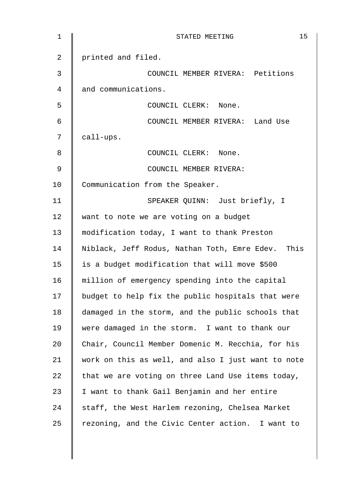| $\mathbf 1$ | 15<br>STATED MEETING                               |
|-------------|----------------------------------------------------|
| 2           | printed and filed.                                 |
| 3           | COUNCIL MEMBER RIVERA: Petitions                   |
| 4           | and communications.                                |
| 5           | COUNCIL CLERK: None.                               |
| 6           | COUNCIL MEMBER RIVERA: Land Use                    |
| 7           | call-ups.                                          |
| 8           | COUNCIL CLERK: None.                               |
| 9           | COUNCIL MEMBER RIVERA:                             |
| 10          | Communication from the Speaker.                    |
| 11          | SPEAKER QUINN: Just briefly, I                     |
| 12          | want to note we are voting on a budget             |
| 13          | modification today, I want to thank Preston        |
| 14          | Niblack, Jeff Rodus, Nathan Toth, Emre Edev. This  |
| 15          | is a budget modification that will move \$500      |
| 16          | million of emergency spending into the capital     |
| 17          | budget to help fix the public hospitals that were  |
| 18          | damaged in the storm, and the public schools that  |
| 19          | were damaged in the storm. I want to thank our     |
| 20          | Chair, Council Member Domenic M. Recchia, for his  |
| 21          | work on this as well, and also I just want to note |
| 22          | that we are voting on three Land Use items today,  |
| 23          | I want to thank Gail Benjamin and her entire       |
| 24          | staff, the West Harlem rezoning, Chelsea Market    |
| 25          | rezoning, and the Civic Center action. I want to   |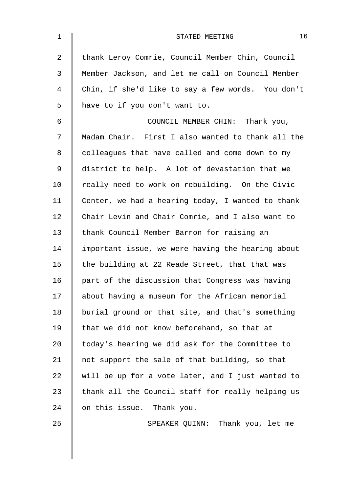| $\mathbf{1}$   | 16<br>STATED MEETING                              |
|----------------|---------------------------------------------------|
| $\overline{2}$ | thank Leroy Comrie, Council Member Chin, Council  |
| 3              | Member Jackson, and let me call on Council Member |
| 4              | Chin, if she'd like to say a few words. You don't |
| 5              | have to if you don't want to.                     |
| 6              | COUNCIL MEMBER CHIN: Thank you,                   |
| 7              | Madam Chair. First I also wanted to thank all the |
| 8              | colleagues that have called and come down to my   |
| 9              | district to help. A lot of devastation that we    |
| 10             | really need to work on rebuilding. On the Civic   |
| 11             | Center, we had a hearing today, I wanted to thank |
| 12             | Chair Levin and Chair Comrie, and I also want to  |
| 13             | thank Council Member Barron for raising an        |
| 14             | important issue, we were having the hearing about |
| 15             | the building at 22 Reade Street, that that was    |
| 16             | part of the discussion that Congress was having   |
| 17             | about having a museum for the African memorial    |
| 18             | burial ground on that site, and that's something  |
| 19             | that we did not know beforehand, so that at       |
| 20             | today's hearing we did ask for the Committee to   |
| 21             | not support the sale of that building, so that    |
| 22             | will be up for a vote later, and I just wanted to |
| 23             | thank all the Council staff for really helping us |
| 24             | on this issue. Thank you.                         |
| 25             | SPEAKER QUINN: Thank you, let me                  |
|                |                                                   |
|                |                                                   |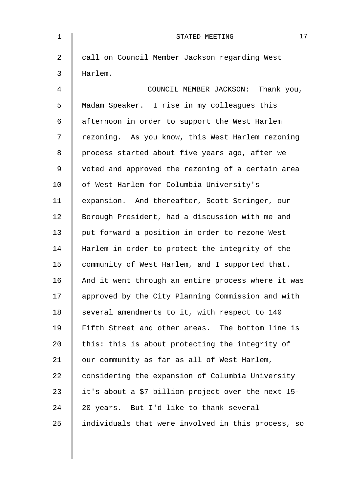| $\mathbf 1$    | 17<br>STATED MEETING                               |
|----------------|----------------------------------------------------|
| $\overline{a}$ | call on Council Member Jackson regarding West      |
| 3              | Harlem.                                            |
| 4              | COUNCIL MEMBER JACKSON: Thank you,                 |
| 5              | Madam Speaker. I rise in my colleagues this        |
| 6              | afternoon in order to support the West Harlem      |
| 7              | rezoning. As you know, this West Harlem rezoning   |
| 8              | process started about five years ago, after we     |
| 9              | voted and approved the rezoning of a certain area  |
| 10             | of West Harlem for Columbia University's           |
| 11             | expansion. And thereafter, Scott Stringer, our     |
| 12             | Borough President, had a discussion with me and    |
| 13             | put forward a position in order to rezone West     |
| 14             | Harlem in order to protect the integrity of the    |
| 15             | community of West Harlem, and I supported that.    |
| 16             | And it went through an entire process where it was |
| 17             | approved by the City Planning Commission and with  |
| 18             | several amendments to it, with respect to 140      |
| 19             | Fifth Street and other areas. The bottom line is   |
| 20             | this: this is about protecting the integrity of    |
| 21             | our community as far as all of West Harlem,        |
| 22             | considering the expansion of Columbia University   |
| 23             | it's about a \$7 billion project over the next 15- |
| 24             | 20 years. But I'd like to thank several            |
| 25             | individuals that were involved in this process, so |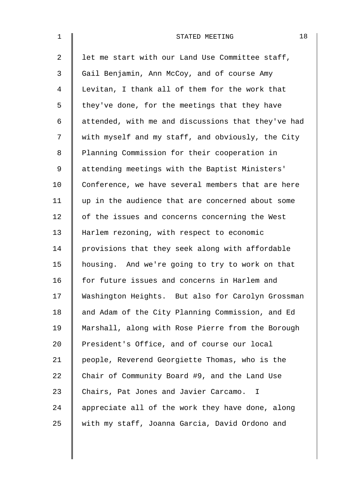| $\mathbf{1}$   | 18<br>STATED MEETING                                  |
|----------------|-------------------------------------------------------|
| $\overline{a}$ | let me start with our Land Use Committee staff,       |
| $\mathfrak{Z}$ | Gail Benjamin, Ann McCoy, and of course Amy           |
| 4              | Levitan, I thank all of them for the work that        |
| 5              | they've done, for the meetings that they have         |
| 6              | attended, with me and discussions that they've had    |
| 7              | with myself and my staff, and obviously, the City     |
| 8              | Planning Commission for their cooperation in          |
| 9              | attending meetings with the Baptist Ministers'        |
| 10             | Conference, we have several members that are here     |
| 11             | up in the audience that are concerned about some      |
| 12             | of the issues and concerns concerning the West        |
| 13             | Harlem rezoning, with respect to economic             |
| 14             | provisions that they seek along with affordable       |
| 15             | housing. And we're going to try to work on that       |
| 16             | for future issues and concerns in Harlem and          |
| 17             | Washington Heights. But also for Carolyn Grossman     |
| 18             | and Adam of the City Planning Commission, and Ed      |
| 19             | Marshall, along with Rose Pierre from the Borough     |
| 20             | President's Office, and of course our local           |
| 21             | people, Reverend Georgiette Thomas, who is the        |
| 22             | Chair of Community Board #9, and the Land Use         |
| 23             | Chairs, Pat Jones and Javier Carcamo.<br>$\mathbb{L}$ |
| 24             | appreciate all of the work they have done, along      |
| 25             | with my staff, Joanna Garcia, David Ordono and        |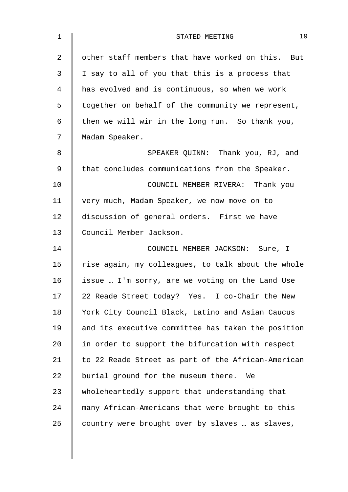| $\mathbf 1$    | 19<br>STATED MEETING                               |
|----------------|----------------------------------------------------|
| $\overline{a}$ | other staff members that have worked on this. But  |
| 3              | I say to all of you that this is a process that    |
| 4              | has evolved and is continuous, so when we work     |
| 5              | together on behalf of the community we represent,  |
| 6              | then we will win in the long run. So thank you,    |
| 7              | Madam Speaker.                                     |
| 8              | SPEAKER QUINN: Thank you, RJ, and                  |
| 9              | that concludes communications from the Speaker.    |
| 10             | COUNCIL MEMBER RIVERA: Thank you                   |
| 11             | very much, Madam Speaker, we now move on to        |
| 12             | discussion of general orders. First we have        |
| 13             | Council Member Jackson.                            |
| 14             | COUNCIL MEMBER JACKSON: Sure, I                    |
| 15             | rise again, my colleagues, to talk about the whole |
| 16             | issue  I'm sorry, are we voting on the Land Use    |
| 17             | 22 Reade Street today? Yes. I co-Chair the New     |
| 18             | York City Council Black, Latino and Asian Caucus   |
| 19             | and its executive committee has taken the position |
| 20             | in order to support the bifurcation with respect   |
| 21             | to 22 Reade Street as part of the African-American |
| 22             | burial ground for the museum there.<br>We          |
| 23             | wholeheartedly support that understanding that     |
| 24             | many African-Americans that were brought to this   |
| 25             | country were brought over by slaves  as slaves,    |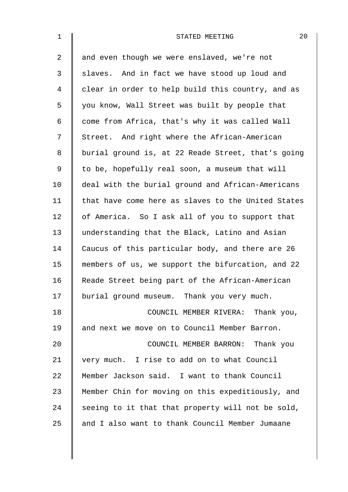| $\mathbf{1}$ | 20<br>STATED MEETING                               |
|--------------|----------------------------------------------------|
| 2            | and even though we were enslaved, we're not        |
| 3            | slaves. And in fact we have stood up loud and      |
| 4            | clear in order to help build this country, and as  |
| 5            | you know, Wall Street was built by people that     |
| 6            | come from Africa, that's why it was called Wall    |
| 7            | Street. And right where the African-American       |
| 8            | burial ground is, at 22 Reade Street, that's going |
| 9            | to be, hopefully real soon, a museum that will     |
| 10           | deal with the burial ground and African-Americans  |
| 11           | that have come here as slaves to the United States |
| 12           | of America. So I ask all of you to support that    |
| 13           | understanding that the Black, Latino and Asian     |
| 14           | Caucus of this particular body, and there are 26   |
| 15           | members of us, we support the bifurcation, and 22  |
| 16           | Reade Street being part of the African-American    |
| 17           | burial ground museum. Thank you very much.         |
| 18           | COUNCIL MEMBER RIVERA: Thank you,                  |
| 19           | and next we move on to Council Member Barron.      |
| 20           | COUNCIL MEMBER BARRON: Thank you                   |
| 21           | very much. I rise to add on to what Council        |
| 22           | Member Jackson said. I want to thank Council       |
| 23           | Member Chin for moving on this expeditiously, and  |
| 24           | seeing to it that that property will not be sold,  |
| 25           | and I also want to thank Council Member Jumaane    |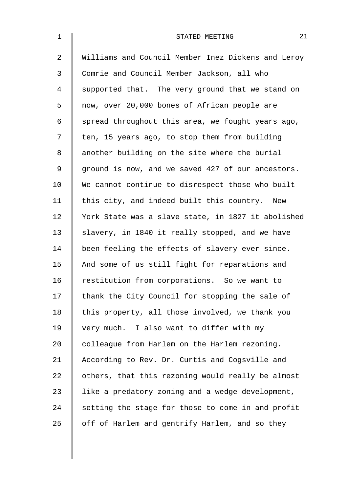| $\mathbf{1}$   | 21<br>STATED MEETING                               |
|----------------|----------------------------------------------------|
| $\overline{a}$ | Williams and Council Member Inez Dickens and Leroy |
| 3              | Comrie and Council Member Jackson, all who         |
| $\overline{4}$ | supported that. The very ground that we stand on   |
| 5              | now, over 20,000 bones of African people are       |
| 6              | spread throughout this area, we fought years ago,  |
| 7              | ten, 15 years ago, to stop them from building      |
| 8              | another building on the site where the burial      |
| 9              | ground is now, and we saved 427 of our ancestors.  |
| 10             | We cannot continue to disrespect those who built   |
| 11             | this city, and indeed built this country. New      |
| 12             | York State was a slave state, in 1827 it abolished |
| 13             | slavery, in 1840 it really stopped, and we have    |
| 14             | been feeling the effects of slavery ever since.    |
| 15             | And some of us still fight for reparations and     |
| 16             | restitution from corporations. So we want to       |
| 17             | thank the City Council for stopping the sale of    |
| 18             | this property, all those involved, we thank you    |
| 19             | very much. I also want to differ with my           |
| 20             | colleague from Harlem on the Harlem rezoning.      |
| 21             | According to Rev. Dr. Curtis and Cogsville and     |
| 22             | others, that this rezoning would really be almost  |
| 23             | like a predatory zoning and a wedge development,   |
| 24             | setting the stage for those to come in and profit  |
| 25             | off of Harlem and gentrify Harlem, and so they     |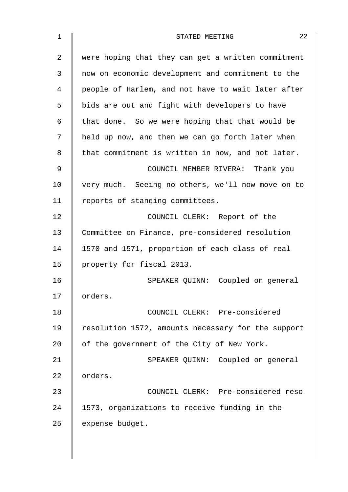| $\mathbf 1$ | 22<br>STATED MEETING                               |
|-------------|----------------------------------------------------|
| 2           | were hoping that they can get a written commitment |
| 3           | now on economic development and commitment to the  |
| 4           | people of Harlem, and not have to wait later after |
| 5           | bids are out and fight with developers to have     |
| 6           | that done. So we were hoping that that would be    |
| 7           | held up now, and then we can go forth later when   |
| 8           | that commitment is written in now, and not later.  |
| 9           | COUNCIL MEMBER RIVERA: Thank you                   |
| 10          | very much. Seeing no others, we'll now move on to  |
| 11          | reports of standing committees.                    |
| 12          | COUNCIL CLERK: Report of the                       |
| 13          | Committee on Finance, pre-considered resolution    |
| 14          | 1570 and 1571, proportion of each class of real    |
| 15          | property for fiscal 2013.                          |
| 16          | SPEAKER QUINN: Coupled on general                  |
| 17          | orders.                                            |
| 18          | COUNCIL CLERK: Pre-considered                      |
| 19          | resolution 1572, amounts necessary for the support |
| 20          | of the government of the City of New York.         |
| 21          | SPEAKER QUINN: Coupled on general                  |
| 22          | orders.                                            |
| 23          | COUNCIL CLERK: Pre-considered reso                 |
| 24          | 1573, organizations to receive funding in the      |
| 25          | expense budget.                                    |
|             |                                                    |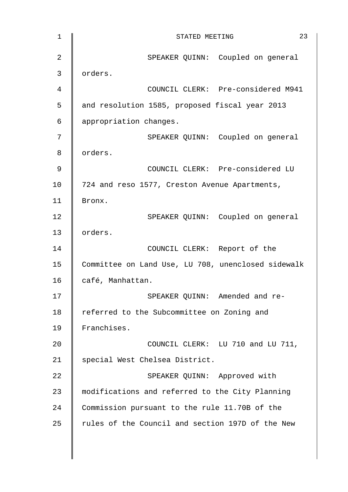| $\mathbf 1$    | 23<br>STATED MEETING                               |
|----------------|----------------------------------------------------|
| $\overline{2}$ | SPEAKER QUINN: Coupled on general                  |
| 3              | orders.                                            |
| 4              | COUNCIL CLERK: Pre-considered M941                 |
| 5              | and resolution 1585, proposed fiscal year 2013     |
| 6              | appropriation changes.                             |
| 7              | SPEAKER QUINN: Coupled on general                  |
| 8              | orders.                                            |
| 9              | COUNCIL CLERK: Pre-considered LU                   |
| 10             | 724 and reso 1577, Creston Avenue Apartments,      |
| 11             | Bronx.                                             |
| 12             | SPEAKER QUINN: Coupled on general                  |
| 13             | orders.                                            |
| 14             | COUNCIL CLERK: Report of the                       |
| 15             | Committee on Land Use, LU 708, unenclosed sidewalk |
| 16             | café, Manhattan.                                   |
| 17             | SPEAKER QUINN: Amended and re-                     |
| 18             | referred to the Subcommittee on Zoning and         |
| 19             | Franchises.                                        |
| 20             | COUNCIL CLERK: LU 710 and LU 711,                  |
| 21             | special West Chelsea District.                     |
| 22             | SPEAKER QUINN: Approved with                       |
| 23             | modifications and referred to the City Planning    |
| 24             | Commission pursuant to the rule 11.70B of the      |
| 25             | rules of the Council and section 197D of the New   |
|                |                                                    |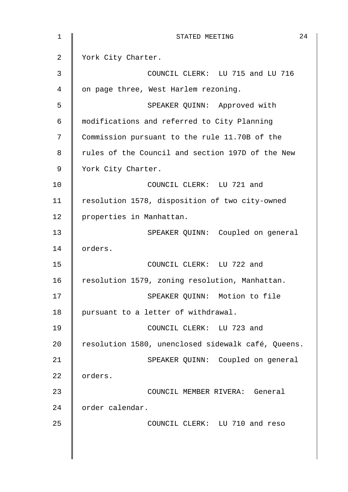| 1  | 24<br>STATED MEETING                               |
|----|----------------------------------------------------|
| 2  | York City Charter.                                 |
| 3  | COUNCIL CLERK: LU 715 and LU 716                   |
| 4  | on page three, West Harlem rezoning.               |
| 5  | SPEAKER QUINN: Approved with                       |
| 6  | modifications and referred to City Planning        |
| 7  | Commission pursuant to the rule 11.70B of the      |
| 8  | rules of the Council and section 197D of the New   |
| 9  | York City Charter.                                 |
| 10 | COUNCIL CLERK: LU 721 and                          |
| 11 | resolution 1578, disposition of two city-owned     |
| 12 | properties in Manhattan.                           |
| 13 | SPEAKER QUINN: Coupled on general                  |
| 14 | orders.                                            |
| 15 | COUNCIL CLERK: LU 722 and                          |
| 16 | resolution 1579, zoning resolution, Manhattan.     |
| 17 | SPEAKER QUINN: Motion to file                      |
| 18 | pursuant to a letter of withdrawal.                |
| 19 | COUNCIL CLERK: LU 723 and                          |
| 20 | resolution 1580, unenclosed sidewalk café, Queens. |
| 21 | SPEAKER QUINN: Coupled on general                  |
| 22 | orders.                                            |
| 23 | COUNCIL MEMBER RIVERA: General                     |
| 24 | order calendar.                                    |
| 25 | COUNCIL CLERK: LU 710 and reso                     |
|    |                                                    |
|    |                                                    |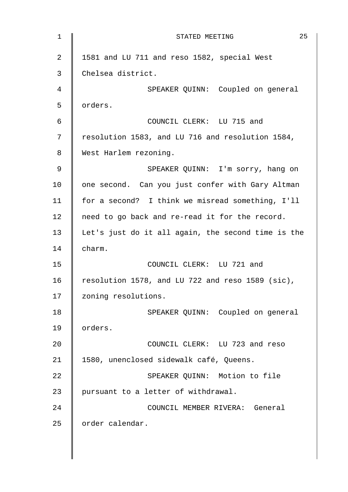| 1           | 25<br>STATED MEETING                               |
|-------------|----------------------------------------------------|
| 2           | 1581 and LU 711 and reso 1582, special West        |
| 3           | Chelsea district.                                  |
| 4           | SPEAKER QUINN: Coupled on general                  |
| 5           | orders.                                            |
| 6           | COUNCIL CLERK: LU 715 and                          |
| 7           | resolution 1583, and LU 716 and resolution 1584,   |
| 8           | West Harlem rezoning.                              |
| $\mathsf 9$ | SPEAKER QUINN: I'm sorry, hang on                  |
| 10          | one second. Can you just confer with Gary Altman   |
| 11          | for a second? I think we misread something, I'll   |
| 12          | need to go back and re-read it for the record.     |
| 13          | Let's just do it all again, the second time is the |
| 14          | charm.                                             |
| 15          | COUNCIL CLERK: LU 721 and                          |
| 16          | resolution 1578, and LU 722 and reso 1589 (sic),   |
| 17          | zoning resolutions.                                |
| 18          | SPEAKER QUINN: Coupled on general                  |
| 19          | orders.                                            |
| 20          | COUNCIL CLERK: LU 723 and reso                     |
| 21          | 1580, unenclosed sidewalk café, Queens.            |
| 22          | SPEAKER QUINN: Motion to file                      |
| 23          | pursuant to a letter of withdrawal.                |
| 24          | COUNCIL MEMBER RIVERA: General                     |
| 25          | order calendar.                                    |
|             |                                                    |
|             |                                                    |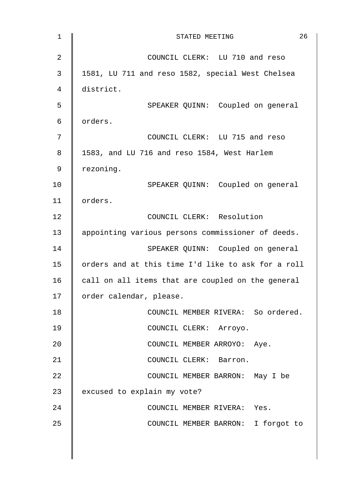| 1              | 26<br>STATED MEETING                               |
|----------------|----------------------------------------------------|
| $\overline{2}$ | COUNCIL CLERK: LU 710 and reso                     |
| 3              | 1581, LU 711 and reso 1582, special West Chelsea   |
| 4              | district.                                          |
| 5              | SPEAKER QUINN: Coupled on general                  |
| 6              | orders.                                            |
| 7              | COUNCIL CLERK: LU 715 and reso                     |
| 8              | 1583, and LU 716 and reso 1584, West Harlem        |
| 9              | rezoning.                                          |
| 10             | SPEAKER QUINN: Coupled on general                  |
| 11             | orders.                                            |
| 12             | COUNCIL CLERK: Resolution                          |
| 13             | appointing various persons commissioner of deeds.  |
| 14             | SPEAKER QUINN: Coupled on general                  |
| 15             | orders and at this time I'd like to ask for a roll |
| 16             | call on all items that are coupled on the general  |
| 17             | order calendar, please.                            |
| 18             | COUNCIL MEMBER RIVERA: So ordered.                 |
| 19             | COUNCIL CLERK: Arroyo.                             |
| 20             | COUNCIL MEMBER ARROYO: Aye.                        |
| 21             | COUNCIL CLERK: Barron.                             |
| 22             | COUNCIL MEMBER BARRON: May I be                    |
| 23             | excused to explain my vote?                        |
| 24             | COUNCIL MEMBER RIVERA: Yes.                        |
| 25             | COUNCIL MEMBER BARRON: I forgot to                 |
|                |                                                    |
|                |                                                    |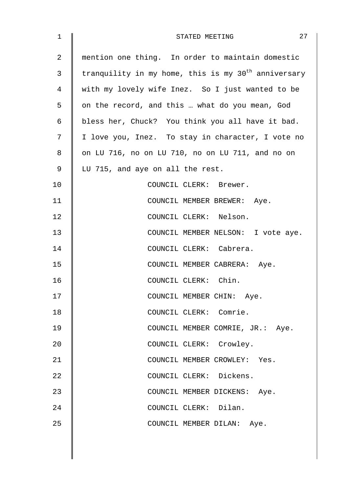| $\mathbf 1$ | 27<br>STATED MEETING                                            |
|-------------|-----------------------------------------------------------------|
| 2           | mention one thing. In order to maintain domestic                |
| 3           | tranquility in my home, this is my 30 <sup>th</sup> anniversary |
| 4           | with my lovely wife Inez. So I just wanted to be                |
| 5           | on the record, and this  what do you mean, God                  |
| 6           | bless her, Chuck? You think you all have it bad.                |
| 7           | I love you, Inez. To stay in character, I vote no               |
| 8           | on LU 716, no on LU 710, no on LU 711, and no on                |
| 9           | LU 715, and aye on all the rest.                                |
| 10          | COUNCIL CLERK: Brewer.                                          |
| 11          | COUNCIL MEMBER BREWER: Aye.                                     |
| 12          | COUNCIL CLERK: Nelson.                                          |
| 13          | COUNCIL MEMBER NELSON: I vote aye.                              |
| 14          | COUNCIL CLERK: Cabrera.                                         |
| 15          | COUNCIL MEMBER CABRERA: Aye.                                    |
| 16          | COUNCIL CLERK: Chin.                                            |
| 17          | COUNCIL MEMBER CHIN: Aye.                                       |
| 18          | COUNCIL CLERK: Comrie.                                          |
| 19          | COUNCIL MEMBER COMRIE, JR.: Aye.                                |
| 20          | COUNCIL CLERK: Crowley.                                         |
| 21          | COUNCIL MEMBER CROWLEY: Yes.                                    |
| 22          | COUNCIL CLERK: Dickens.                                         |
| 23          | COUNCIL MEMBER DICKENS: Aye.                                    |
| 24          | COUNCIL CLERK: Dilan.                                           |
| 25          | COUNCIL MEMBER DILAN: Aye.                                      |
|             |                                                                 |
|             |                                                                 |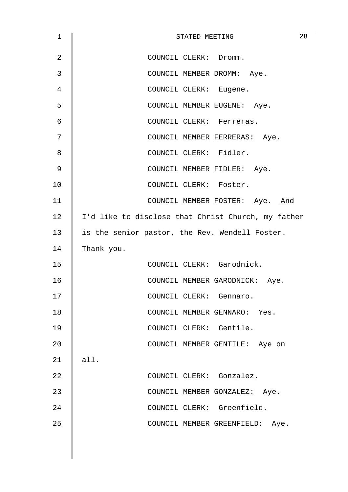| $\mathbf 1$    | 28<br>STATED MEETING                               |
|----------------|----------------------------------------------------|
| $\overline{2}$ | COUNCIL CLERK: Dromm.                              |
| 3              | COUNCIL MEMBER DROMM: Aye.                         |
| 4              | COUNCIL CLERK: Eugene.                             |
| 5              | COUNCIL MEMBER EUGENE: Aye.                        |
| 6              | COUNCIL CLERK: Ferreras.                           |
| 7              | COUNCIL MEMBER FERRERAS: Aye.                      |
| 8              | COUNCIL CLERK: Fidler.                             |
| 9              | COUNCIL MEMBER FIDLER: Aye.                        |
| 10             | COUNCIL CLERK: Foster.                             |
| 11             | COUNCIL MEMBER FOSTER: Aye. And                    |
| 12             | I'd like to disclose that Christ Church, my father |
| 13             | is the senior pastor, the Rev. Wendell Foster.     |
| 14             | Thank you.                                         |
| 15             | COUNCIL CLERK: Garodnick.                          |
| 16             | COUNCIL MEMBER GARODNICK: Aye.                     |
| 17             | COUNCIL CLERK: Gennaro.                            |
| 18             | COUNCIL MEMBER GENNARO: Yes.                       |
| 19             | COUNCIL CLERK: Gentile.                            |
| 20             | COUNCIL MEMBER GENTILE: Aye on                     |
| 21             | all.                                               |
| 22             | COUNCIL CLERK: Gonzalez.                           |
| 23             | COUNCIL MEMBER GONZALEZ: Aye.                      |
| 24             | COUNCIL CLERK: Greenfield.                         |
| 25             | COUNCIL MEMBER GREENFIELD: Aye.                    |
|                |                                                    |
|                |                                                    |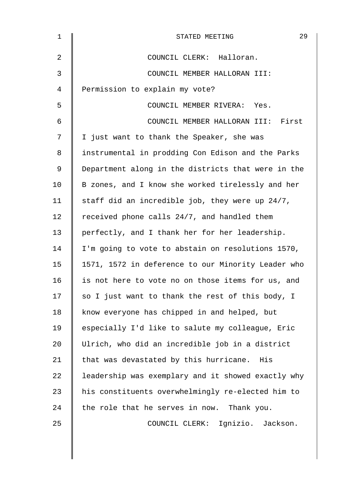| $\mathbf 1$ | 29<br>STATED MEETING                               |
|-------------|----------------------------------------------------|
| 2           | COUNCIL CLERK: Halloran.                           |
| 3           | COUNCIL MEMBER HALLORAN III:                       |
| 4           | Permission to explain my vote?                     |
| 5           | COUNCIL MEMBER RIVERA: Yes.                        |
| 6           | COUNCIL MEMBER HALLORAN III: First                 |
| 7           | I just want to thank the Speaker, she was          |
| 8           | instrumental in prodding Con Edison and the Parks  |
| 9           | Department along in the districts that were in the |
| 10          | B zones, and I know she worked tirelessly and her  |
| 11          | staff did an incredible job, they were up 24/7,    |
| 12          | received phone calls 24/7, and handled them        |
| 13          | perfectly, and I thank her for her leadership.     |
| 14          | I'm going to vote to abstain on resolutions 1570,  |
| 15          | 1571, 1572 in deference to our Minority Leader who |
| 16          | is not here to vote no on those items for us, and  |
| 17          | so I just want to thank the rest of this body, I   |
| 18          | know everyone has chipped in and helped, but       |
| 19          | especially I'd like to salute my colleague, Eric   |
| 20          | Ulrich, who did an incredible job in a district    |
| 21          | that was devastated by this hurricane. His         |
| 22          | leadership was exemplary and it showed exactly why |
| 23          | his constituents overwhelmingly re-elected him to  |
| 24          | the role that he serves in now. Thank you.         |
| 25          | COUNCIL CLERK: Ignizio. Jackson.                   |
|             |                                                    |
|             |                                                    |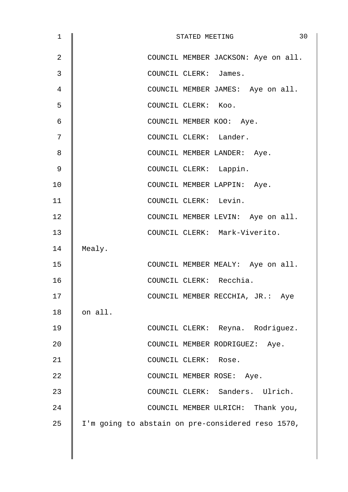| $\mathbf 1$ | 30<br>STATED MEETING                              |
|-------------|---------------------------------------------------|
| 2           | COUNCIL MEMBER JACKSON: Aye on all.               |
| 3           | COUNCIL CLERK: James.                             |
| 4           | COUNCIL MEMBER JAMES: Aye on all.                 |
| 5           | COUNCIL CLERK: Koo.                               |
| 6           | COUNCIL MEMBER KOO: Aye.                          |
| 7           | COUNCIL CLERK: Lander.                            |
| 8           | COUNCIL MEMBER LANDER: Aye.                       |
| 9           | COUNCIL CLERK: Lappin.                            |
| 10          | COUNCIL MEMBER LAPPIN: Aye.                       |
| 11          | COUNCIL CLERK: Levin.                             |
| 12          | COUNCIL MEMBER LEVIN: Aye on all.                 |
| 13          | COUNCIL CLERK: Mark-Viverito.                     |
| 14          | Mealy.                                            |
| 15          | COUNCIL MEMBER MEALY: Aye on all.                 |
| 16          | COUNCIL CLERK: Recchia.                           |
| 17          | COUNCIL MEMBER RECCHIA, JR.: Aye                  |
| 18          | on all.                                           |
| 19          | COUNCIL CLERK: Reyna. Rodriguez.                  |
| 20          | COUNCIL MEMBER RODRIGUEZ: Aye.                    |
| 21          | COUNCIL CLERK: Rose.                              |
| 22          | COUNCIL MEMBER ROSE: Aye.                         |
| 23          | COUNCIL CLERK: Sanders. Ulrich.                   |
| 24          | COUNCIL MEMBER ULRICH: Thank you,                 |
| 25          | I'm going to abstain on pre-considered reso 1570, |
|             |                                                   |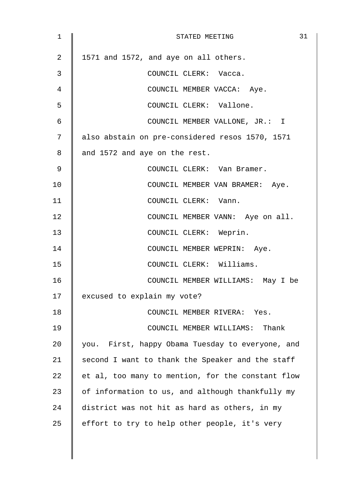| 1              | 31<br>STATED MEETING                              |
|----------------|---------------------------------------------------|
| $\overline{2}$ | 1571 and 1572, and aye on all others.             |
| 3              | COUNCIL CLERK: Vacca.                             |
| 4              | COUNCIL MEMBER VACCA: Aye.                        |
| 5              | COUNCIL CLERK: Vallone.                           |
| 6              | COUNCIL MEMBER VALLONE, JR.: I                    |
| 7              | also abstain on pre-considered resos 1570, 1571   |
| 8              | and 1572 and aye on the rest.                     |
| 9              | COUNCIL CLERK: Van Bramer.                        |
| 10             | COUNCIL MEMBER VAN BRAMER: Aye.                   |
| 11             | COUNCIL CLERK: Vann.                              |
| 12             | COUNCIL MEMBER VANN: Aye on all.                  |
| 13             | COUNCIL CLERK: Weprin.                            |
| 14             | COUNCIL MEMBER WEPRIN: Aye.                       |
| 15             | COUNCIL CLERK: Williams.                          |
| 16             | COUNCIL MEMBER WILLIAMS: May I be                 |
| 17             | excused to explain my vote?                       |
| 18             | COUNCIL MEMBER RIVERA: Yes.                       |
| 19             | COUNCIL MEMBER WILLIAMS: Thank                    |
| 20             | you. First, happy Obama Tuesday to everyone, and  |
| 21             | second I want to thank the Speaker and the staff  |
| 22             | et al, too many to mention, for the constant flow |
| 23             | of information to us, and although thankfully my  |
| 24             | district was not hit as hard as others, in my     |
| 25             | effort to try to help other people, it's very     |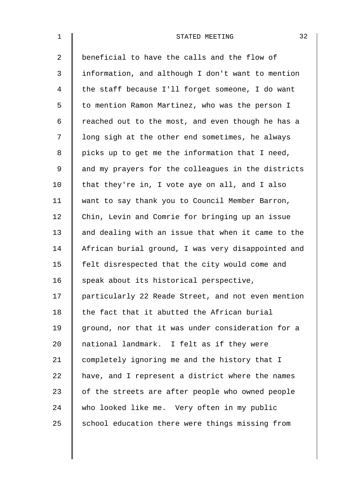| $\mathbf 1$    | 32<br>STATED MEETING                               |
|----------------|----------------------------------------------------|
| $\overline{2}$ | beneficial to have the calls and the flow of       |
| 3              | information, and although I don't want to mention  |
| 4              | the staff because I'll forget someone, I do want   |
| 5              | to mention Ramon Martinez, who was the person I    |
| 6              | reached out to the most, and even though he has a  |
| 7              | long sigh at the other end sometimes, he always    |
| 8              | picks up to get me the information that I need,    |
| 9              | and my prayers for the colleagues in the districts |
| 10             | that they're in, I vote aye on all, and I also     |
| 11             | want to say thank you to Council Member Barron,    |
| 12             | Chin, Levin and Comrie for bringing up an issue    |
| 13             | and dealing with an issue that when it came to the |
| 14             | African burial ground, I was very disappointed and |
| 15             | felt disrespected that the city would come and     |
| 16             | speak about its historical perspective,            |
| 17             | particularly 22 Reade Street, and not even mention |
| 18             | the fact that it abutted the African burial        |
| 19             | ground, nor that it was under consideration for a  |
| 20             | national landmark. I felt as if they were          |
| 21             | completely ignoring me and the history that I      |
| 22             | have, and I represent a district where the names   |
| 23             | of the streets are after people who owned people   |
| 24             | who looked like me. Very often in my public        |
| 25             | school education there were things missing from    |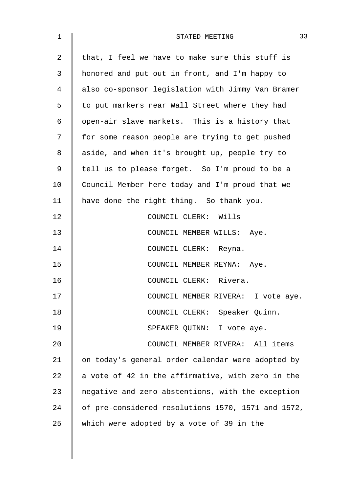| $\mathbf 1$    | 33<br>STATED MEETING                               |
|----------------|----------------------------------------------------|
| $\overline{2}$ | that, I feel we have to make sure this stuff is    |
| 3              | honored and put out in front, and I'm happy to     |
| $\overline{4}$ | also co-sponsor legislation with Jimmy Van Bramer  |
| 5              | to put markers near Wall Street where they had     |
| 6              | open-air slave markets. This is a history that     |
| 7              | for some reason people are trying to get pushed    |
| 8              | aside, and when it's brought up, people try to     |
| 9              | tell us to please forget. So I'm proud to be a     |
| 10             | Council Member here today and I'm proud that we    |
| 11             | have done the right thing. So thank you.           |
| 12             | COUNCIL CLERK: Wills                               |
| 13             | COUNCIL MEMBER WILLS: Aye.                         |
| 14             | COUNCIL CLERK: Reyna.                              |
| 15             | COUNCIL MEMBER REYNA: Aye.                         |
| 16             | COUNCIL CLERK: Rivera.                             |
| 17             | COUNCIL MEMBER RIVERA: I vote aye.                 |
| 18             | COUNCIL CLERK: Speaker Quinn.                      |
| 19             | SPEAKER QUINN: I vote aye.                         |
| 20             | COUNCIL MEMBER RIVERA: All items                   |
| 21             | on today's general order calendar were adopted by  |
| 22             | a vote of 42 in the affirmative, with zero in the  |
| 23             | negative and zero abstentions, with the exception  |
| 24             | of pre-considered resolutions 1570, 1571 and 1572, |
| 25             | which were adopted by a vote of 39 in the          |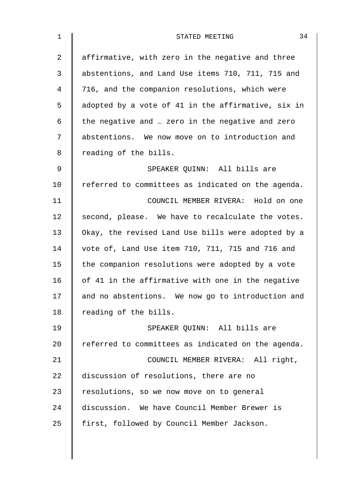| $\mathbf 1$ | 34<br>STATED MEETING                               |
|-------------|----------------------------------------------------|
| 2           | affirmative, with zero in the negative and three   |
| 3           | abstentions, and Land Use items 710, 711, 715 and  |
| 4           | 716, and the companion resolutions, which were     |
| 5           | adopted by a vote of 41 in the affirmative, six in |
| 6           | the negative and  zero in the negative and zero    |
| 7           | abstentions. We now move on to introduction and    |
| 8           | reading of the bills.                              |
| 9           | SPEAKER QUINN: All bills are                       |
| 10          | referred to committees as indicated on the agenda. |
| 11          | COUNCIL MEMBER RIVERA: Hold on one                 |
| 12          | second, please. We have to recalculate the votes.  |
| 13          | Okay, the revised Land Use bills were adopted by a |
| 14          | vote of, Land Use item 710, 711, 715 and 716 and   |
| 15          | the companion resolutions were adopted by a vote   |
| 16          | of 41 in the affirmative with one in the negative  |
| 17          | and no abstentions. We now go to introduction and  |
| 18          | reading of the bills.                              |
| 19          | SPEAKER QUINN: All bills are                       |
| 20          | referred to committees as indicated on the agenda. |
| 21          | COUNCIL MEMBER RIVERA: All right,                  |
| 22          | discussion of resolutions, there are no            |
| 23          | resolutions, so we now move on to general          |
| 24          | discussion. We have Council Member Brewer is       |
| 25          | first, followed by Council Member Jackson.         |
|             |                                                    |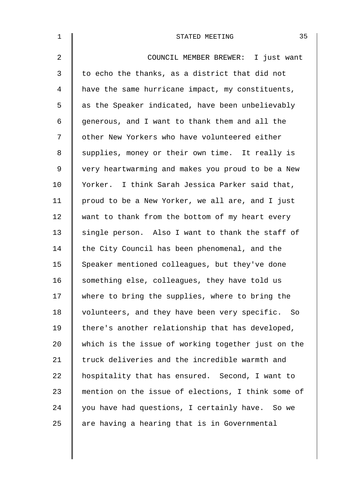| $\mathbf 1$ | 35<br>STATED MEETING                               |
|-------------|----------------------------------------------------|
| 2           | COUNCIL MEMBER BREWER: I just want                 |
| 3           | to echo the thanks, as a district that did not     |
| 4           | have the same hurricane impact, my constituents,   |
| 5           | as the Speaker indicated, have been unbelievably   |
| 6           | generous, and I want to thank them and all the     |
| 7           | other New Yorkers who have volunteered either      |
| 8           | supplies, money or their own time. It really is    |
| 9           | very heartwarming and makes you proud to be a New  |
| 10          | Yorker. I think Sarah Jessica Parker said that,    |
| 11          | proud to be a New Yorker, we all are, and I just   |
| 12          | want to thank from the bottom of my heart every    |
| 13          | single person. Also I want to thank the staff of   |
| 14          | the City Council has been phenomenal, and the      |
| 15          | Speaker mentioned colleagues, but they've done     |
| 16          | something else, colleagues, they have told us      |
| 17          | where to bring the supplies, where to bring the    |
| 18          | volunteers, and they have been very specific. So   |
| 19          | there's another relationship that has developed,   |
| 20          | which is the issue of working together just on the |
| 21          | truck deliveries and the incredible warmth and     |
| 22          | hospitality that has ensured. Second, I want to    |
| 23          | mention on the issue of elections, I think some of |
| 24          | you have had questions, I certainly have. So we    |
| 25          | are having a hearing that is in Governmental       |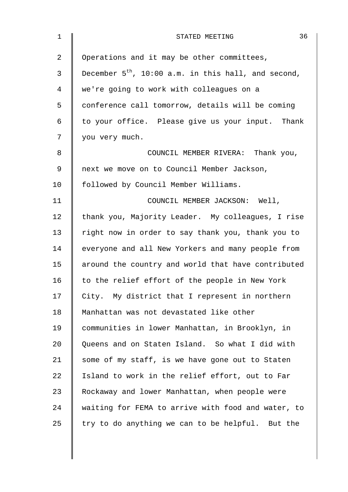| $\mathbf 1$    | 36<br>STATED MEETING                                     |
|----------------|----------------------------------------------------------|
| $\overline{2}$ | Operations and it may be other committees,               |
| $\mathfrak{Z}$ | December $5^{th}$ , 10:00 a.m. in this hall, and second, |
| 4              | we're going to work with colleagues on a                 |
| 5              | conference call tomorrow, details will be coming         |
| 6              | to your office. Please give us your input. Thank         |
| 7              | you very much.                                           |
| 8              | COUNCIL MEMBER RIVERA: Thank you,                        |
| 9              | next we move on to Council Member Jackson,               |
| 10             | followed by Council Member Williams.                     |
| 11             | COUNCIL MEMBER JACKSON: Well,                            |
| 12             | thank you, Majority Leader. My colleagues, I rise        |
| 13             | right now in order to say thank you, thank you to        |
| 14             | everyone and all New Yorkers and many people from        |
| 15             | around the country and world that have contributed       |
| 16             | to the relief effort of the people in New York           |
| 17             | City. My district that I represent in northern           |
| 18             | Manhattan was not devastated like other                  |
| 19             | communities in lower Manhattan, in Brooklyn, in          |
| 20             | Queens and on Staten Island. So what I did with          |
| 21             | some of my staff, is we have gone out to Staten          |
| 22             | Island to work in the relief effort, out to Far          |
| 23             | Rockaway and lower Manhattan, when people were           |
| 24             | waiting for FEMA to arrive with food and water, to       |
| 25             | try to do anything we can to be helpful. But the         |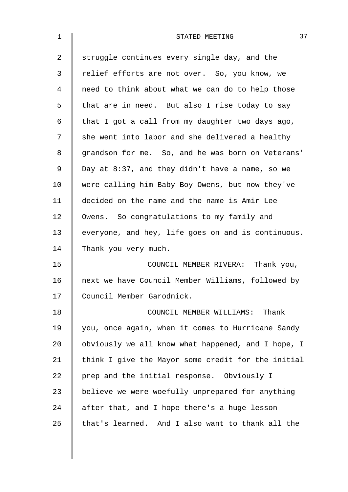| $\mathbf{1}$   | 37<br>STATED MEETING                               |
|----------------|----------------------------------------------------|
| $\overline{2}$ | struggle continues every single day, and the       |
| 3              | relief efforts are not over. So, you know, we      |
| 4              | need to think about what we can do to help those   |
| 5              | that are in need. But also I rise today to say     |
| 6              | that I got a call from my daughter two days ago,   |
| 7              | she went into labor and she delivered a healthy    |
| 8              | grandson for me. So, and he was born on Veterans'  |
| 9              | Day at $8:37$ , and they didn't have a name, so we |
| 10             | were calling him Baby Boy Owens, but now they've   |
| 11             | decided on the name and the name is Amir Lee       |
| 12             | Owens. So congratulations to my family and         |
| 13             | everyone, and hey, life goes on and is continuous. |
| 14             | Thank you very much.                               |
| 15             | COUNCIL MEMBER RIVERA: Thank you,                  |
| 16             | next we have Council Member Williams, followed by  |
| 17             | Council Member Garodnick.                          |
| 18             | COUNCIL MEMBER WILLIAMS: Thank                     |
| 19             | you, once again, when it comes to Hurricane Sandy  |
| 20             | obviously we all know what happened, and I hope, I |
| 21             | think I give the Mayor some credit for the initial |
| 22             | prep and the initial response. Obviously I         |
| 23             | believe we were woefully unprepared for anything   |
| 24             | after that, and I hope there's a huge lesson       |
| 25             | that's learned. And I also want to thank all the   |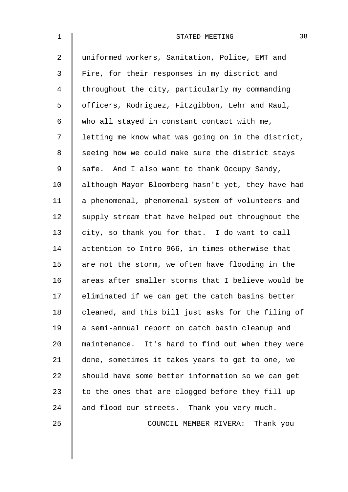| $\mathbf{1}$   | 38<br>STATED MEETING                               |
|----------------|----------------------------------------------------|
| $\overline{2}$ | uniformed workers, Sanitation, Police, EMT and     |
| 3              | Fire, for their responses in my district and       |
| 4              | throughout the city, particularly my commanding    |
| 5              | officers, Rodriguez, Fitzgibbon, Lehr and Raul,    |
| 6              | who all stayed in constant contact with me,        |
| 7              | letting me know what was going on in the district, |
| 8              | seeing how we could make sure the district stays   |
| 9              | safe. And I also want to thank Occupy Sandy,       |
| 10             | although Mayor Bloomberg hasn't yet, they have had |
| 11             | a phenomenal, phenomenal system of volunteers and  |
| 12             | supply stream that have helped out throughout the  |
| 13             | city, so thank you for that. I do want to call     |
| 14             | attention to Intro 966, in times otherwise that    |
| 15             | are not the storm, we often have flooding in the   |
| 16             | areas after smaller storms that I believe would be |
| 17             | eliminated if we can get the catch basins better   |
| 18             | cleaned, and this bill just asks for the filing of |
| 19             | a semi-annual report on catch basin cleanup and    |
| 20             | maintenance. It's hard to find out when they were  |
| 21             | done, sometimes it takes years to get to one, we   |
| 22             | should have some better information so we can get  |
| 23             | to the ones that are clogged before they fill up   |
| 24             | and flood our streets. Thank you very much.        |
| 25             | COUNCIL MEMBER RIVERA: Thank you                   |
|                |                                                    |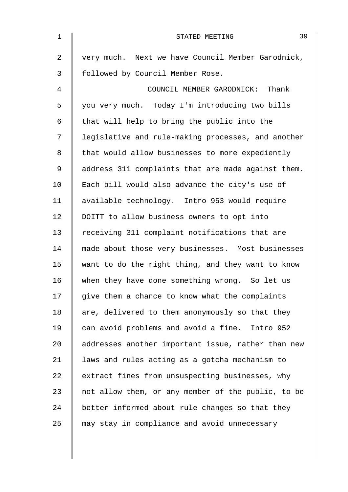| $\mathbf{1}$   | 39<br>STATED MEETING                               |
|----------------|----------------------------------------------------|
| $\overline{2}$ | very much. Next we have Council Member Garodnick,  |
| 3              | followed by Council Member Rose.                   |
| 4              | COUNCIL MEMBER GARODNICK: Thank                    |
| 5              | you very much. Today I'm introducing two bills     |
| 6              | that will help to bring the public into the        |
| 7              | legislative and rule-making processes, and another |
| 8              | that would allow businesses to more expediently    |
| 9              | address 311 complaints that are made against them. |
| 10             | Each bill would also advance the city's use of     |
| 11             | available technology. Intro 953 would require      |
| 12             | DOITT to allow business owners to opt into         |
| 13             | receiving 311 complaint notifications that are     |
| 14             | made about those very businesses. Most businesses  |
| 15             | want to do the right thing, and they want to know  |
| 16             | when they have done something wrong. So let us     |
| 17             | give them a chance to know what the complaints     |
| 18             | are, delivered to them anonymously so that they    |
| 19             | can avoid problems and avoid a fine.<br>Intro 952  |
| 20             | addresses another important issue, rather than new |
| 21             | laws and rules acting as a gotcha mechanism to     |
| 22             | extract fines from unsuspecting businesses, why    |
| 23             | not allow them, or any member of the public, to be |
| 24             | better informed about rule changes so that they    |
| 25             | may stay in compliance and avoid unnecessary       |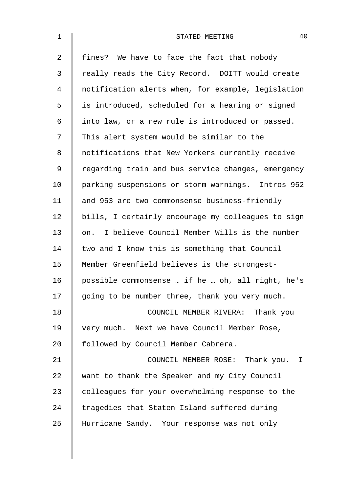| $\mathbf 1$ | 40<br>STATED MEETING                               |
|-------------|----------------------------------------------------|
| 2           | fines? We have to face the fact that nobody        |
| 3           | really reads the City Record. DOITT would create   |
| 4           | notification alerts when, for example, legislation |
| 5           | is introduced, scheduled for a hearing or signed   |
| 6           | into law, or a new rule is introduced or passed.   |
| 7           | This alert system would be similar to the          |
| 8           | notifications that New Yorkers currently receive   |
| $\mathsf 9$ | regarding train and bus service changes, emergency |
| 10          | parking suspensions or storm warnings. Intros 952  |
| 11          | and 953 are two commonsense business-friendly      |
| 12          | bills, I certainly encourage my colleagues to sign |
| 13          | on. I believe Council Member Wills is the number   |
| 14          | two and I know this is something that Council      |
| 15          | Member Greenfield believes is the strongest-       |
| 16          | possible commonsense  if he  oh, all right, he's   |
| 17          | going to be number three, thank you very much.     |
| 18          | COUNCIL MEMBER RIVERA: Thank you                   |
| 19          | very much. Next we have Council Member Rose,       |
| 20          | followed by Council Member Cabrera.                |
| 21          | COUNCIL MEMBER ROSE: Thank you. I                  |
| 22          | want to thank the Speaker and my City Council      |
| 23          | colleagues for your overwhelming response to the   |
| 24          | tragedies that Staten Island suffered during       |
| 25          | Hurricane Sandy. Your response was not only        |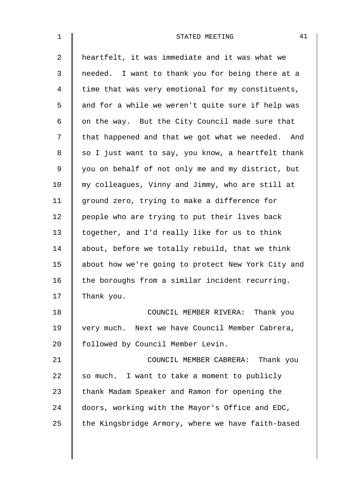| 1              | 41<br>STATED MEETING                               |  |
|----------------|----------------------------------------------------|--|
| $\overline{2}$ | heartfelt, it was immediate and it was what we     |  |
| $\mathfrak{Z}$ | needed. I want to thank you for being there at a   |  |
| $\overline{4}$ | time that was very emotional for my constituents,  |  |
| 5              | and for a while we weren't quite sure if help was  |  |
| 6              | on the way. But the City Council made sure that    |  |
| 7              | that happened and that we got what we needed. And  |  |
| 8              | so I just want to say, you know, a heartfelt thank |  |
| 9              | you on behalf of not only me and my district, but  |  |
| 10             | my colleagues, Vinny and Jimmy, who are still at   |  |
| 11             | ground zero, trying to make a difference for       |  |
| 12             | people who are trying to put their lives back      |  |
| 13             | together, and I'd really like for us to think      |  |
| 14             | about, before we totally rebuild, that we think    |  |
| 15             | about how we're going to protect New York City and |  |
| 16             | the boroughs from a similar incident recurring.    |  |
| 17             | Thank you.                                         |  |
| 18             | COUNCIL MEMBER RIVERA: Thank you                   |  |
| 19             | very much. Next we have Council Member Cabrera,    |  |
| 20             | followed by Council Member Levin.                  |  |
| 21             | COUNCIL MEMBER CABRERA: Thank you                  |  |
| 22             | so much. I want to take a moment to publicly       |  |
| 23             | thank Madam Speaker and Ramon for opening the      |  |
| 24             | doors, working with the Mayor's Office and EDC,    |  |
| 25             | the Kingsbridge Armory, where we have faith-based  |  |
|                |                                                    |  |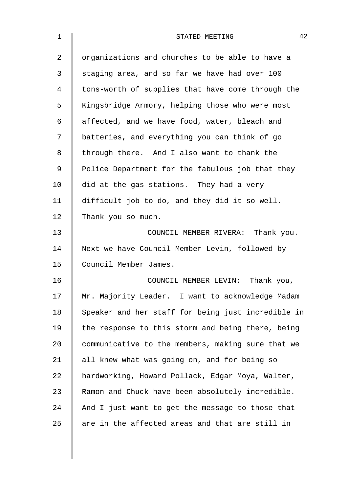| $\mathbf{1}$ | 42<br>STATED MEETING                               |
|--------------|----------------------------------------------------|
| 2            | organizations and churches to be able to have a    |
| 3            | staging area, and so far we have had over 100      |
| 4            | tons-worth of supplies that have come through the  |
| 5            | Kingsbridge Armory, helping those who were most    |
| 6            | affected, and we have food, water, bleach and      |
| 7            | batteries, and everything you can think of go      |
| 8            | through there. And I also want to thank the        |
| $\mathsf 9$  | Police Department for the fabulous job that they   |
| 10           | did at the gas stations. They had a very           |
| 11           | difficult job to do, and they did it so well.      |
| 12           | Thank you so much.                                 |
| 13           | COUNCIL MEMBER RIVERA: Thank you.                  |
| 14           | Next we have Council Member Levin, followed by     |
| 15           | Council Member James.                              |
| 16           | COUNCIL MEMBER LEVIN: Thank you,                   |
| 17           | Mr. Majority Leader. I want to acknowledge Madam   |
| 18           | Speaker and her staff for being just incredible in |
| 19           | the response to this storm and being there, being  |
| 20           | communicative to the members, making sure that we  |
| 21           | all knew what was going on, and for being so       |
| 22           | hardworking, Howard Pollack, Edgar Moya, Walter,   |
| 23           | Ramon and Chuck have been absolutely incredible.   |
| 24           | And I just want to get the message to those that   |
| 25           | are in the affected areas and that are still in    |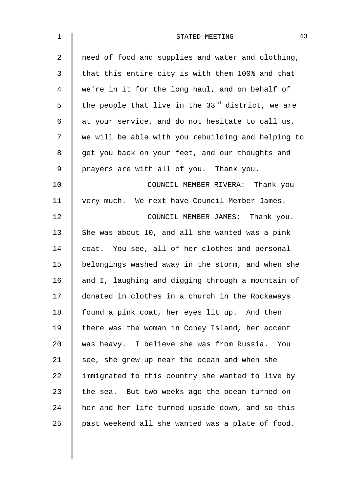| $\mathbf 1$    | 43<br>STATED MEETING                                   |
|----------------|--------------------------------------------------------|
| $\overline{2}$ | need of food and supplies and water and clothing,      |
| 3              | that this entire city is with them 100% and that       |
| 4              | we're in it for the long haul, and on behalf of        |
| 5              | the people that live in the $33^{rd}$ district, we are |
| 6              | at your service, and do not hesitate to call us,       |
| 7              | we will be able with you rebuilding and helping to     |
| 8              | get you back on your feet, and our thoughts and        |
| 9              | prayers are with all of you. Thank you.                |
| 10             | COUNCIL MEMBER RIVERA: Thank you                       |
| 11             | very much. We next have Council Member James.          |
| 12             | COUNCIL MEMBER JAMES: Thank you.                       |
| 13             | She was about 10, and all she wanted was a pink        |
| 14             | coat. You see, all of her clothes and personal         |
| 15             | belongings washed away in the storm, and when she      |
| 16             | and I, laughing and digging through a mountain of      |
| 17             | donated in clothes in a church in the Rockaways        |
| 18             | found a pink coat, her eyes lit up. And then           |
| 19             | there was the woman in Coney Island, her accent        |
| 20             | was heavy. I believe she was from Russia. You          |
| 21             | see, she grew up near the ocean and when she           |
| 22             | immigrated to this country she wanted to live by       |
| 23             | the sea. But two weeks ago the ocean turned on         |
| 24             | her and her life turned upside down, and so this       |
| 25             | past weekend all she wanted was a plate of food.       |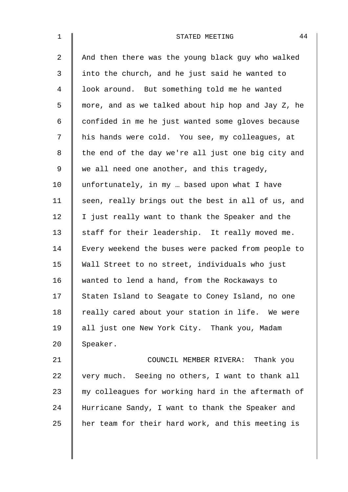| $\mathbf 1$    | 44<br>STATED MEETING                               |
|----------------|----------------------------------------------------|
| $\overline{a}$ | And then there was the young black guy who walked  |
| 3              | into the church, and he just said he wanted to     |
| 4              | look around. But something told me he wanted       |
| 5              | more, and as we talked about hip hop and Jay Z, he |
| 6              | confided in me he just wanted some gloves because  |
| 7              | his hands were cold. You see, my colleagues, at    |
| 8              | the end of the day we're all just one big city and |
| 9              | we all need one another, and this tragedy,         |
| 10             | unfortunately, in my  based upon what I have       |
| 11             | seen, really brings out the best in all of us, and |
| 12             | I just really want to thank the Speaker and the    |
| 13             | staff for their leadership. It really moved me.    |
| 14             | Every weekend the buses were packed from people to |
| 15             | Wall Street to no street, individuals who just     |
| 16             | wanted to lend a hand, from the Rockaways to       |
| 17             | Staten Island to Seagate to Coney Island, no one   |
| 18             | really cared about your station in life. We were   |
| 19             | all just one New York City. Thank you, Madam       |
| 20             | Speaker.                                           |
| 21             | COUNCIL MEMBER RIVERA: Thank you                   |
| 22             | very much. Seeing no others, I want to thank all   |
| 23             | my colleagues for working hard in the aftermath of |
| 24             | Hurricane Sandy, I want to thank the Speaker and   |
| 25             | her team for their hard work, and this meeting is  |
|                |                                                    |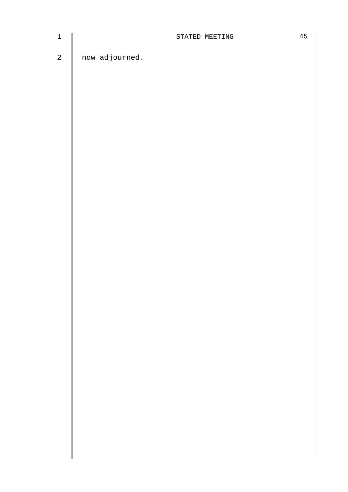| ٦ |  |
|---|--|
|   |  |
|   |  |

 $2 \parallel$  now adjourned.